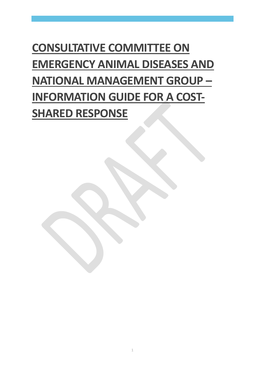# **CONSULTATIVE COMMITTEE ON EMERGENCY ANIMAL DISEASES AND NATIONAL MANAGEMENT GROUP – INFORMATION GUIDE FOR A COST-SHARED RESPONSE**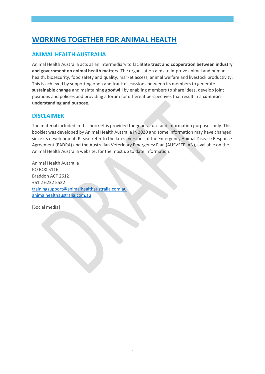# **WORKING TOGETHER FOR ANIMAL HEALTH**

### **ANIMAL HEALTH AUSTRALIA**

Animal Health Australia acts as an intermediary to facilitate **trust and cooperation between industry and government on animal health matters**. The organisation aims to improve animal and human health, biosecurity, food safety and quality, market access, animal welfare and livestock productivity. This is achieved by supporting open and frank discussions between its members to generate **sustainable change** and maintaining **goodwill** by enabling members to share ideas, develop joint positions and policies and providing a forum for different perspectives that result in a **common understanding and purpose**.

#### **DISCLAIMER**

The material included in this booklet is provided for general use and information purposes only. This booklet was developed by Animal Health Australia in 2020 and some information may have changed since its development. Please refer to the latest versions of the Emergency Animal Disease Response Agreement (EADRA) and the Australian Veterinary Emergency Plan (AUSVETPLAN), available on the Animal Health Australia website, for the most up to date information.

Animal Health Australia PO BOX 5116 Braddon ACT 2612 +61 2 6232 5522 [trainingsupport@animalhealthaustralia.com.au](mailto:trainingsupport@animalhealthaustralia.com.au) animalhealthaustralia.com.au

[Social media]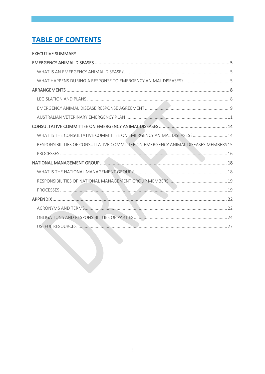# **TABLE OF CONTENTS**

#### **EXECUTIVE SUMMARY**

| WHAT IS THE CONSULTATIVE COMMITTEE ON EMERGENCY ANIMAL DISEASES? 14                |  |
|------------------------------------------------------------------------------------|--|
| RESPONSIBILITIES OF CONSULTATIVE COMMITTEE ON EMERGENCY ANIMAL DISEASES MEMBERS 15 |  |
|                                                                                    |  |
|                                                                                    |  |
|                                                                                    |  |
|                                                                                    |  |
|                                                                                    |  |
|                                                                                    |  |
|                                                                                    |  |
|                                                                                    |  |
|                                                                                    |  |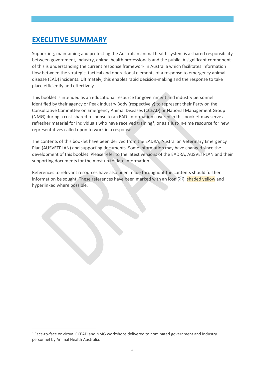# <span id="page-3-0"></span>**EXECUTIVE SUMMARY**

Supporting, maintaining and protecting the Australian animal health system is a shared responsibility between government, industry, animal health professionals and the public. A significant component of this is understanding the current response framework in Australia which facilitates information flow between the strategic, tactical and operational elements of a response to emergency animal disease (EAD) incidents. Ultimately, this enables rapid decision-making and the response to take place efficiently and effectively.

This booklet is intended as an educational resource for government and industry personnel identified by their agency or Peak Industry Body (respectively) to represent their Party on the Consultative Committee on Emergency Animal Diseases (CCEAD) or National Management Group (NMG) during a cost-shared response to an EAD. Information covered in this booklet may serve as refresher material for individuals who have received training<sup>[1](#page-3-1)</sup>, or as a just-in-time resource for new representatives called upon to work in a response.

The contents of this booklet have been derived from the EADRA, Australian Veterinary Emergency Plan (AUSVETPLAN) and supporting documents. Some information may have changed since the development of this booklet. Please refer to the latest versions of the EADRA, AUSVETPLAN and their supporting documents for the most up to date information.

References to relevant resources have also been made throughout the contents should further information be sought. These references have been marked with an icon  $(\mathbb{O})$ , shaded yellow and hyperlinked where possible.

<span id="page-3-1"></span><sup>&</sup>lt;sup>1</sup> Face-to-face or virtual CCEAD and NMG workshops delivered to nominated government and industry personnel by Animal Health Australia.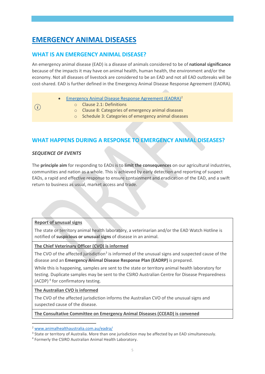# <span id="page-4-0"></span>**EMERGENCY ANIMAL DISEASES**

### <span id="page-4-1"></span>**WHAT IS AN EMERGENCY ANIMAL DISEASE?**

An emergency animal disease (EAD) is a disease of animals considered to be of **national significance** because of the impacts it may have on animal health, human health, the environment and/or the economy. Not all diseases of livestock are considered to be an EAD and not all EAD outbreaks will be cost-shared. EAD is further defined in the Emergency Animal Disease Response Agreement (EADRA).

- [Emergency Animal Disease Response Agreement \(EADRA\)](https://animalhealthaustralia.com.au/eadra/)[2](#page-4-3)
	- o Clause 2.1: Definitions
	- o Clause 8: Categories of emergency animal diseases
	- o Schedule 3: Categories of emergency animal diseases

### <span id="page-4-2"></span>**WHAT HAPPENS DURING A RESPONSE TO EMERGENCY ANIMAL DISEASES?**

#### *SEQUENCE OF EVENTS*

The **principle aim** for responding to EADs is to **limit the consequences** on our agricultural industries, communities and nation as a whole. This is achieved by early detection and reporting of suspect EADs, a rapid and effective response to ensure containment and eradication of the EAD, and a swift return to business as usual, market access and trade.

#### **Report of unusual signs**

The state or territory animal health laboratory, a veterinarian and/or the EAD Watch Hotline is notified of **suspicious or unusual signs** of disease in an animal.

#### **The Chief Veterinary Officer (CVO) is informed**

The CVO of the affected jurisdiction<sup>3</sup> is informed of the unusual signs and suspected cause of the disease and an **Emergency Animal Disease Response Plan (EADRP)** is prepared.

While this is happening, samples are sent to the state or territory animal health laboratory for testing. Duplicate samples may be sent to the CSIRO Australian Centre for Disease Preparedness (ACDP) [4](#page-4-5) for confirmatory testing.

#### **The Australian CVO is informed**

The CVO of the affected jurisdiction informs the Australian CVO of the unusual signs and suspected cause of the disease.

#### **The Consultative Committee on Emergency Animal Diseases (CCEAD) is convened**

<span id="page-4-3"></span><sup>2</sup> [www.animalhealthaustralia.com.au/eadra/](http://www.animalhealthaustralia.com.au/eadra/)

<span id="page-4-4"></span><sup>&</sup>lt;sup>3</sup> State or territory of Australia. More than one jurisdiction may be affected by an EAD simultaneously.

<span id="page-4-5"></span><sup>4</sup> Formerly the CSIRO Australian Animal Health Laboratory.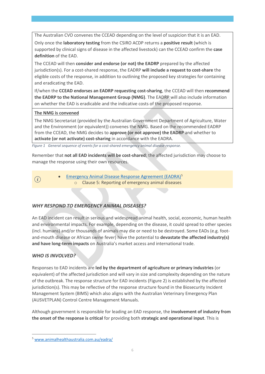The Australian CVO convenes the CCEAD depending on the level of suspicion that it is an EAD.

Only once the **laboratory testing** from the CSIRO ACDP returns a **positive result** (which is supported by clinical signs of disease in the affected livestock) can the CCEAD confirm the **case definition** of the EAD.

The CCEAD will then **consider and endorse (or not) the EADRP** prepared by the affected jurisdiction(s). For a cost-shared response, the EADRP **will include a request to cost-share** the eligible costs of the response, in addition to outlining the proposed key strategies for containing and eradicating the EAD.

If/when the **CCEAD endorses an EADRP requesting cost-sharing**, the CCEAD will then **recommend the EADRP to the National Management Group (NMG)**. The EADRP will also include information on whether the EAD is eradicable and the indicative costs of the proposed response.

#### **The NMG is convened**

The NMG Secretariat (provided by the Australian Government Department of Agriculture, Water and the Environment (or equivalent)) convenes the NMG. Based on the recommended EADRP from the CCEAD, the NMG decides to **approve (or not approve) the EADRP** and whether to **activate (or not activate) cost-sharing** in accordance with the EADRA.

*Figure 1 General sequence of events for a cost-shared emergency animal disease response.*

Remember that **not all EAD incidents will be cost-shared**; the affected jurisdiction may choose to manage the response using their own resources.

[Emergency Animal Disease Response Agreement \(EADRA\)](http://www.animalhealthaustralia.com.au/what-we-do/emergency-animal-disease/ead-response-agreement/)<sup>[5](#page-5-0)</sup>  $(i)$ o Clause 5: Reporting of emergency animal diseases

### *WHY RESPOND TO EMERGENCY ANIMAL DISEASES?*

An EAD incident can result in serious and widespread animal health, social, economic, human health and environmental impacts. For example, depending on the disease, it could spread to other species (incl. humans) and/or thousands of animals may die or need to be destroyed. Some EADs (e.g. footand-mouth disease or African swine fever) have the potential to **devastate the affected industry(s) and have long-term impacts** on Australia's market access and international trade.

#### *WHO IS INVOLVED?*

Responses to EAD incidents are **led by the department of agriculture or primary industries** (or equivalent) of the affected jurisdiction and will vary in size and complexity depending on the nature of the outbreak. The response structure for EAD incidents (Figure 2) is established by the affected jurisdiction(s). This may be reflective of the response structure found in the Biosecurity Incident Management System (BIMS) which also aligns with the Australian Veterinary Emergency Plan (AUSVETPLAN) Control Centre Management Manuals.

Although government is responsible for leading an EAD response, the **involvement of industry from the onset of the response is critical** for providing both **strategic and operational input**. This is

<span id="page-5-0"></span><sup>5</sup> [www.animalhealthaustralia.com.au/eadra/](http://www.animalhealthaustralia.com.au/eadra/)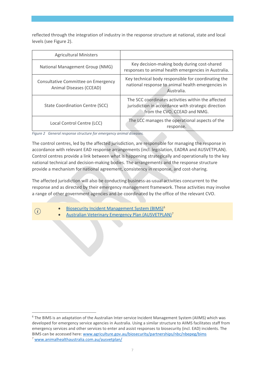reflected through the integration of industry in the response structure at national, state and local levels (see Figure 2).

| <b>Agricultural Ministers</b>                                  |                                                                                                                                           |
|----------------------------------------------------------------|-------------------------------------------------------------------------------------------------------------------------------------------|
| National Management Group (NMG)                                | Key decision-making body during cost-shared<br>responses to animal health emergencies in Australia.                                       |
| Consultative Committee on Emergency<br>Animal Diseases (CCEAD) | Key technical body responsible for coordinating the<br>national response to animal health emergencies in<br>Australia.                    |
| State Coordination Centre (SCC)                                | The SCC coordinates activities within the affected<br>jurisdiction in accordance with strategic direction<br>from the CVO, CCEAD and NMG. |
| Local Control Centre (LCC)                                     | The LCC manages the operational aspects of the<br>response.                                                                               |

*Figure 2 General response structure for emergency animal diseases.*

The control centres, led by the affected jurisdiction, are responsible for managing the response in accordance with relevant EAD response arrangements (incl. legislation, EADRA and AUSVETPLAN). Control centres provide a link between what is happening strategically and operationally to the key national technical and decision-making bodies. The arrangements and the response structure provide a mechanism for national agreement, consistency in response, and cost-sharing.

The affected jurisdiction will also be conducting business-as-usual activities concurrent to the response and as directed by their emergency management framework. These activities may involve a range of other government agencies and be coordinated by the office of the relevant CVO.

[Biosecurity Incident Management System \(BIMS\)](https://www.agriculture.gov.au/biosecurity/partnerships/nbc/nbepeg/bims)<sup>[6](#page-6-0)</sup>

[Australian Veterinary Emergency Plan \(AUSVETPLAN\)](http://www.animalhealthaustralia.com.au/our-publications/ausvetplan-manuals-and-documents/)<sup>[7](#page-6-1)</sup>

<span id="page-6-1"></span><span id="page-6-0"></span><sup>6</sup> The BIMS is an adaptation of the Australian Inter-service Incident Management System (AIIMS) which was developed for emergency service agencies in Australia. Using a similar structure to AIIMS facilitates staff from emergency services and other services to enter and assist responses to biosecurity (incl. EAD) incidents. The BIMS can be accessed here[: www.agriculture.gov.au/biosecurity/partnerships/nbc/nbepeg/bims](http://www.agriculture.gov.au/biosecurity/partnerships/nbc/nbepeg/bims) <sup>7</sup> [www.animalhealthaustralia.com.au/ausvetplan/](http://www.animalhealthaustralia.com.au/ausvetplan/)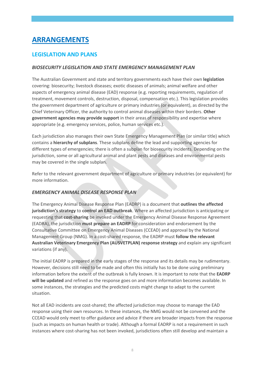# <span id="page-7-0"></span>**ARRANGEMENTS**

### <span id="page-7-1"></span>**LEGISLATION AND PLANS**

#### *BIOSECURITY LEGISLATION AND STATE EMERGENCY MANAGEMENT PLAN*

The Australian Government and state and territory governments each have their own **legislation** covering: biosecurity; livestock diseases; exotic diseases of animals; animal welfare and other aspects of emergency animal disease (EAD) response (e.g. reporting requirements, regulation of treatment, movement controls, destruction, disposal, compensation etc.). This legislation provides the government department of agriculture or primary industries (or equivalent), as directed by the Chief Veterinary Officer, the authority to control animal diseases within their borders. **Other government agencies may provide support** in their areas of responsibility and expertise where appropriate (e.g. emergency services, police, human services etc.).

Each jurisdiction also manages their own State Emergency Management Plan (or similar title) which contains a **hierarchy of subplans**. These subplans define the lead and supporting agencies for different types of emergencies; there is often a subplan for biosecurity incidents. Depending on the jurisdiction, some or all agricultural animal and plant pests and diseases and environmental pests may be covered in the single subplan.

Refer to the relevant government department of agriculture or primary industries (or equivalent) for more information.

#### *EMERGENCY ANIMAL DISEASE RESPONSE PLAN*

The Emergency Animal Disease Response Plan (EADRP) is a document that **outlines the affected jurisdiction's strategy** to **control an EAD outbreak**. Where an affected jurisdiction is anticipating or requesting that **cost-sharing** be invoked under the Emergency Animal Disease Response Agreement (EADRA), the jurisdiction **must prepare an EADRP** for consideration and endorsement by the Consultative Committee on Emergency Animal Diseases (CCEAD) and approval by the National Management Group (NMG). In a cost-shared response, the EADRP must **follow the relevant Australian Veterinary Emergency Plan (AUSVETPLAN) response strategy** and explain any significant variations (if any).

The initial EADRP is prepared in the early stages of the response and its details may be rudimentary. However, decisions still need to be made and often this initially has to be done using preliminary information before the extent of the outbreak is fully known. It is important to note that the **EADRP will be updated** and refined as the response goes on and more information becomes available. In some instances, the strategies and the predicted costs might change to adapt to the current situation.

Not all EAD incidents are cost-shared; the affected jurisdiction may choose to manage the EAD response using their own resources. In these instances, the NMG would not be convened and the CCEAD would only meet to offer guidance and advice if there are broader impacts from the response (such as impacts on human health or trade). Although a formal EADRP is not a requirement in such instances where cost-sharing has not been invoked, jurisdictions often still develop and maintain a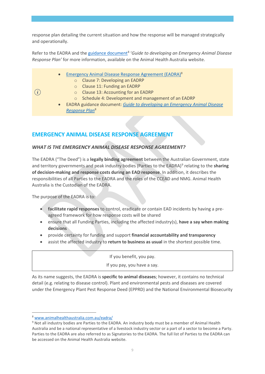response plan detailing the current situation and how the response will be managed strategically and operationally.

Refer to the EADRA and the [guidance document](http://www.animalhealthaustralia.com.au/training/emergency-animal-disease-training/guidance-documents/)<sup>[8](#page-8-1)</sup> 'Guide to developing an Emergency Animal Disease *Response Plan'* for more information, available on the Animal Health Australia website.

- [Emergency Animal Disease Response Agreement \(EADRA\)8](http://www.animalhealthaustralia.com.au/what-we-do/emergency-animal-disease/ead-response-agreement/)
	- o Clause 7: Developing an EADRP
	- o Clause 11: Funding an EADRP
	- o Clause 13: Accounting for an EADRP
	- o Schedule 4: Development and management of an EADRP
- EADRA guidance document: *[Guide to developing an Emergency Animal Disease](https://www.animalhealthaustralia.com.au/training/emergency-animal-disease-training/guidance-documents/)  [Response](https://www.animalhealthaustralia.com.au/training/emergency-animal-disease-training/guidance-documents/) Plan*<sup>8</sup>

### <span id="page-8-0"></span>**EMERGENCY ANIMAL DISEASE RESPONSE AGREEMENT**

#### *WHAT IS THE EMERGENCY ANIMAL DISEASE RESPONSE AGREEMENT?*

The EADRA ("The Deed") is a **legally binding agreement** between the Australian Government, state and territory governments and peak industry bodies (Parties to the EADRA)[9](#page-8-2) relating to the **sharing of decision-making and response costs during an EAD response**. In addition, it describes the responsibilities of all Parties to the EADRA and the roles of the CCEAD and NMG. Animal Health Australia is the Custodian of the EADRA.

The purpose of the EADRA is to:

 $\binom{1}{1}$ 

- **facilitate rapid responses** to control, eradicate or contain EAD incidents by having a preagreed framework for how response costs will be shared
- ensure that all Funding Parties, including the affected industry(s), **have a say when making decisions**
- provide certainty for funding and support **financial accountability and transparency**
- assist the affected industry to **return to business as usual** in the shortest possible time.

If you benefit, you pay. If you pay, you have a say.

As its name suggests, the EADRA is **specific to animal diseases**; however, it contains no technical detail (e.g. relating to disease control). Plant and environmental pests and diseases are covered under the Emergency Plant Pest Response Deed (EPPRD) and the National Environmental Biosecurity

<span id="page-8-1"></span><sup>8</sup> [www.animalhealthaustralia.com.au/eadra/](http://www.animalhealthaustralia.com.au/eadra/)

<span id="page-8-2"></span><sup>9</sup> Not all industry bodies are Parties to the EADRA. An industry body must be a member of Animal Health Australia and be a national representative of a livestock industry sector or a part of a sector to become a Party. Parties to the EADRA are also referred to as Signatories to the EADRA. The full list of Parties to the EADRA can be accessed on the Animal Health Australia website.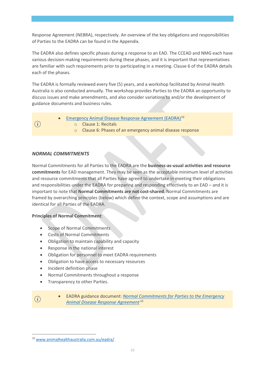Response Agreement (NEBRA), respectively. An overview of the key obligations and responsibilities of Parties to the EADRA can be found in the Appendix.

The EADRA also defines specific phases during a response to an EAD. The CCEAD and NMG each have various decision-making requirements during these phases, and it is important that representatives are familiar with such requirements prior to participating in a meeting. Clause 6 of the EADRA details each of the phases.

The EADRA is formally reviewed every five (5) years, and a workshop facilitated by Animal Health Australia is also conducted annually. The workshop provides Parties to the EADRA an opportunity to discuss issues and make amendments, and also consider variations to and/or the development of guidance documents and business rules.

[Emergency Animal Disease Response Agreement \(EADRA\)](http://www.animalhealthaustralia.com.au/what-we-do/emergency-animal-disease/ead-response-agreement/)<sup>[10](#page-9-0)</sup>  $(i)$ o Clause 1: Recitals o Clause 6: Phases of an emergency animal disease response

#### *NORMAL COMMITMENTS*

Normal Commitments for all Parties to the EADRA are the **business-as-usual activities and resource commitments** for EAD management. They may be seen as the acceptable minimum level of activities and resource commitments that all Parties have agreed to undertake in meeting their obligations and responsibilities under the EADRA for preparing and responding effectively to an EAD – and it is important to note that **Normal Commitments are not cost-shared**. Normal Commitments are framed by overarching principles (below) which define the context, scope and assumptions and are identical for all Parties of the EADRA.

#### **Principles of Normal Commitment**:

- Scope of Normal Commitments
- Costs of Normal Commitments
- Obligation to maintain capability and capacity
- Response in the national interest
- Obligation for personnel to meet EADRA requirements
- Obligation to have access to necessary resources
- Incident definition phase
- Normal Commitments throughout a response
- Transparency to other Parties.
- $\mathbf{i}$
- EADRA guidance document: *[Normal Commitments for Parties to the Emergency](https://www.animalhealthaustralia.com.au/training/emergency-animal-disease-training/guidance-documents/)  [Animal Disease Response Agreement](https://www.animalhealthaustralia.com.au/training/emergency-animal-disease-training/guidance-documents/)* <sup>10</sup>

<span id="page-9-0"></span><sup>10</sup> [www.animalhealthaustralia.com.au/eadra/](http://www.animalhealthaustralia.com.au/eadra/)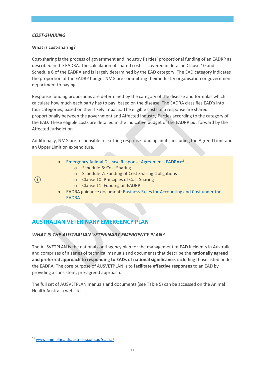#### *COST-SHARING*

 $\binom{1}{i}$ 

#### **What is cost-sharing?**

Cost-sharing is the process of government and industry Parties' proportional funding of an EADRP as described in the EADRA. The calculation of shared costs is covered in detail in Clause 10 and Schedule 6 of the EADRA and is largely determined by the EAD category. The EAD category indicates the proportion of the EADRP budget NMG are committing their industry organisation or government department to paying.

Response funding proportions are determined by the category of the disease and formulas which calculate how much each party has to pay, based on the disease. The EADRA classifies EAD's into four categories, based on their likely impacts. The eligible costs of a response are shared proportionally between the government and Affected Industry Parties according to the category of the EAD. These eligible costs are detailed in the indicative budget of the EADRP put forward by the Affected Jurisdiction.

Additionally, NMG are responsible for setting response funding limits, including the Agreed Limit and an Upper Limit on expenditure.

- [Emergency Animal Disease Response Agreement \(EADRA\)](http://www.animalhealthaustralia.com.au/what-we-do/emergency-animal-disease/ead-response-agreement/)<sup>[11](#page-10-1)</sup>
	- o Schedule 6: Cost Sharing
	- o Schedule 7: Funding of Cost Sharing Obligations
	- o Clause 10: Principles of Cost Sharing
	- o Clause 11: Funding an EADRP
- EADRA guidance document: [Business Rules for Accounting and Cost under the](https://www.animalhealthaustralia.com.au/training/emergency-animal-disease-training/guidance-documents/)  [EADRA](https://www.animalhealthaustralia.com.au/training/emergency-animal-disease-training/guidance-documents/)

# <span id="page-10-0"></span>**AUSTRALIAN VETERINARY EMERGENCY PLAN**

#### *WHAT IS THE AUSTRALIAN VETERINARY EMERGENCY PLAN?*

The AUSVETPLAN is the national contingency plan for the management of EAD incidents in Australia and comprises of a series of technical manuals and documents that describe the **nationally agreed and preferred approach to responding to EADs of national significance**, including those listed under the EADRA. The core purpose of AUSVETPLAN is to **facilitate effective responses** to an EAD by providing a consistent, pre-agreed approach.

The full set of AUSVETPLAN manuals and documents (see Table 5) can be accessed on the Animal Health Australia website.

<span id="page-10-1"></span><sup>11</sup> [www.animalhealthaustralia.com.au/eadra/](http://www.animalhealthaustralia.com.au/eadra/)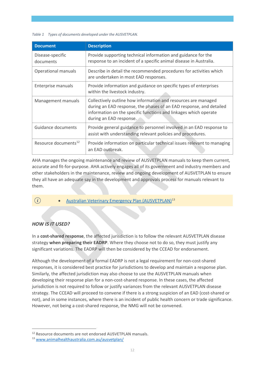#### *Table 1 Types of documents developed under the AUSVETPLAN.*

| <b>Document</b>                  | <b>Description</b>                                                                                                                                                                                                                   |
|----------------------------------|--------------------------------------------------------------------------------------------------------------------------------------------------------------------------------------------------------------------------------------|
| Disease-specific<br>documents    | Provide supporting technical information and guidance for the<br>response to an incident of a specific animal disease in Australia.                                                                                                  |
| Operational manuals              | Describe in detail the recommended procedures for activities which<br>are undertaken in most EAD responses.                                                                                                                          |
| Enterprise manuals               | Provide information and guidance on specific types of enterprises<br>within the livestock industry.                                                                                                                                  |
| Management manuals               | Collectively outline how information and resources are managed<br>during an EAD response, the phases of an EAD response, and detailed<br>information on the specific functions and linkages which operate<br>during an EAD response. |
| Guidance documents               | Provide general guidance to personnel involved in an EAD response to<br>assist with understanding relevant policies and procedures.                                                                                                  |
| Resource documents <sup>12</sup> | Provide information on particular technical issues relevant to managing<br>an EAD outbreak.                                                                                                                                          |

AHA manages the ongoing maintenance and review of AUSVETPLAN manuals to keep them current, accurate and fit-for-purpose. AHA actively engages all of its government and industry members and other stakeholders in the maintenance, review and ongoing development of AUSVETPLAN to ensure they all have an adequate say in the development and approvals process for manuals relevant to them.

 $(i)$  • [Australian Veterinary Emergency Plan \(AUSVETPLAN\)](https://www.animalhealthaustralia.com.au/our-publications/ausvetplan-manuals-and-documents/)<sup>[13](#page-11-1)</sup>

#### *HOW IS IT USED?*

In a **cost-shared response**, the affected jurisdiction is to follow the relevant AUSVETPLAN disease strategy **when preparing their EADRP**. Where they choose not to do so, they must justify any significant variations. The EADRP will then be considered by the CCEAD for endorsement.

Although the development of a formal EADRP is not a legal requirement for non-cost-shared responses, it is considered best practice for jurisdictions to develop and maintain a response plan. Similarly, the affected jurisdiction may also choose to use the AUSVETPLAN manuals when developing their response plan for a non-cost-shared response. In these cases, the affected jurisdiction is not required to follow or justify variances from the relevant AUSVETPLAN disease strategy. The CCEAD will proceed to convene if there is a strong suspicion of an EAD (cost-shared or not), and in some instances, where there is an incident of public health concern or trade significance. However, not being a cost-shared response, the NMG will not be convened.

<span id="page-11-0"></span><sup>12</sup> Resource documents are not endorsed AUSVETPLAN manuals.

<span id="page-11-1"></span><sup>13</sup> [www.animalhealthaustralia.com.au/ausvetplan/](http://www.animalhealthaustralia.com.au/ausvetplan/)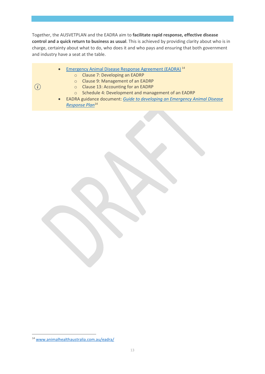Together, the AUSVETPLAN and the EADRA aim to **facilitate rapid response, effective disease control and a quick return to business as usual**. This is achieved by providing clarity about who is in charge, certainty about what to do, who does it and who pays and ensuring that both government and industry have a seat at the table.

- [Emergency Animal Disease Response Agreement \(EADRA\)](http://www.animalhealthaustralia.com.au/what-we-do/emergency-animal-disease/ead-response-agreement/)<sup>[14](#page-12-0)</sup>
	- o Clause 7: Developing an EADRP
		- o Clause 9: Management of an EADRP
- $\binom{1}{i}$
- o Clause 13: Accounting for an EADRP o Schedule 4: Development and management of an EADRP
- EADRA guidance document: *[Guide to developing an Emergency Animal Disease](https://www.animalhealthaustralia.com.au/training/emergency-animal-disease-training/guidance-documents/)  [Response Plan](https://www.animalhealthaustralia.com.au/training/emergency-animal-disease-training/guidance-documents/)*<sup>14</sup>

<span id="page-12-0"></span><sup>14</sup> [www.animalhealthaustralia.com.au/eadra/](http://www.animalhealthaustralia.com.au/eadra/)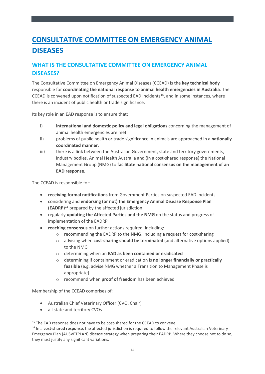# <span id="page-13-0"></span>**CONSULTATIVE COMMITTEE ON EMERGENCY ANIMAL DISEASES**

# <span id="page-13-1"></span>**WHAT IS THE CONSULTATIVE COMMITTEE ON EMERGENCY ANIMAL DISEASES?**

The Consultative Committee on Emergency Animal Diseases (CCEAD) is the **key technical body** responsible for **coordinating the national response to animal health emergencies in Australia**. The CCEAD is convened upon notification of suspected EAD incidents<sup>[15](#page-13-2)</sup>, and in some instances, where there is an incident of public health or trade significance.

Its key role in an EAD response is to ensure that:

- i) **international and domestic policy and legal obligations** concerning the management of animal health emergencies are met.
- ii) problems of public health or trade significance in animals are approached in a **nationally coordinated manner**.
- iii) there is a **link** between the Australian Government, state and territory governments, industry bodies, Animal Health Australia and (in a cost-shared response) the National Management Group (NMG) to **facilitate national consensus on the management of an EAD response**.

The CCEAD is responsible for:

- **receiving formal notifications** from Government Parties on suspected EAD incidents
- considering and **endorsing (or not) the Emergency Animal Disease Response Plan (EADRP)[16](#page-13-3)** prepared by the affected jurisdiction
- regularly **updating the Affected Parties and the NMG** on the status and progress of implementation of the EADRP
- **reaching consensus** on further actions required, including:
	- o recommending the EADRP to the NMG, including a request for cost-sharing
	- o advising when **cost-sharing should be terminated** (and alternative options applied) to the NMG
	- o determining when an **EAD as been contained or eradicated**
	- o determining if containment or eradication is **no longer financially or practically feasible** (e.g. advise NMG whether a Transition to Management Phase is appropriate)
	- o recommend when **proof of freedom** has been achieved.

Membership of the CCEAD comprises of:

- Australian Chief Veterinary Officer (CVO, Chair)
- all state and territory CVOs

<span id="page-13-2"></span><sup>&</sup>lt;sup>15</sup> The EAD response does not have to be cost-shared for the CCEAD to convene.

<span id="page-13-3"></span><sup>&</sup>lt;sup>16</sup> In a **cost-shared response**, the affected jurisdiction is required to follow the relevant Australian Veterinary Emergency Plan (AUSVETPLAN) disease strategy when preparing their EADRP. Where they choose not to do so, they must justify any significant variations.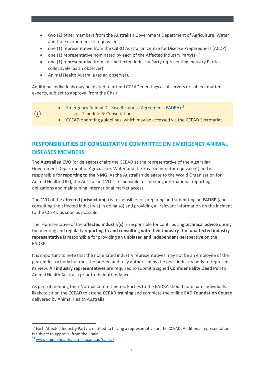- two (2) other members from the Australian Government Department of Agriculture, Water and the Environment (or equivalent)
- one (1) representative from the CSIRO Australian Centre for Disease Preparedness (ACDP)
- one (1) representative nominated by each of the Affected Industry Party(s)<sup>[17](#page-14-1)</sup>
- one (1) representative from an Unaffected Industry Party representing Industry Parties collectively (as an observer)
- Animal Health Australia (as an observer).

 $(i)$ 

Additional individuals may be invited to attend CCEAD meetings as observers or subject matter experts, subject to approval from the Chair.

- [Emergency Animal Disease Response Agreement \(EADRA\)](http://www.animalhealthaustralia.com.au/what-we-do/emergency-animal-disease/ead-response-agreement/)[18](#page-14-2)
	- o Schedule 8: Consultation
	- CCEAD operating guidelines, which may be accessed via the CCEAD Secretariat

# <span id="page-14-0"></span>**RESPONSIBILITIES OF CONSULTATIVE COMMITTEE ON EMERGENCY ANIMAL DISEASES MEMBERS**

The **Australian CVO** (or delegate) chairs the CCEAD as the representative of the Australian Government Department of Agriculture, Water and the Environment (or equivalent) and is responsible for **reporting to the NMG**. As the Australian delegate to the World Organisation for Animal Health (OIE), the Australian CVO is responsible for meeting international reporting obligations and maintaining international market access.

The CVO of the **affected jurisdiction(s)** is responsible for preparing and submitting an **EADRP** (and consulting the affected industry(s) in doing so) and providing all relevant information on the incident to the CCEAD as soon as possible.

The representative of the **affected industry(s)** is responsible for contributing **technical advice** during the meeting and regularly **reporting to and consulting with their industry**. The **unaffected industry representative** is responsible for providing an **unbiased and independent perspective** on the EADRP.

It is important to note that the nominated industry representatives may not be an employee of the peak industry body but must be briefed and fully authorised by the peak industry body to represent its view. **All industry representatives** are required to submit a signed **Confidentiality Deed Poll** to Animal Health Australia prior to their attendance.

As part of meeting their Normal Commitments, Parties to the EADRA should nominate individuals likely to sit on the CCEAD to attend **CCEAD training** and complete the online **EAD Foundation Course** delivered by Animal Health Australia.

<span id="page-14-1"></span><sup>&</sup>lt;sup>17</sup> Each Affected Industry Party is entitled to having a representative on the CCEAD. Additional representation is subject to approval from the Chair.

<span id="page-14-2"></span><sup>18</sup> [www.animalhealthaustralia.com.au/eadra/](http://www.animalhealthaustralia.com.au/eadra/)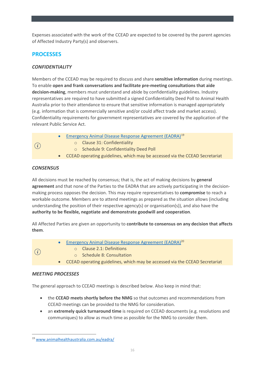Expenses associated with the work of the CCEAD are expected to be covered by the parent agencies of Affected Industry Party(s) and observers.

# <span id="page-15-0"></span>**PROCESSES**

#### *CONFIDENTIALITY*

Members of the CCEAD may be required to discuss and share **sensitive information** during meetings. To enable **open and frank conversations and facilitate pre-meeting consultations that aide decision-making**, members must understand and abide by confidentiality guidelines. Industry representatives are required to have submitted a signed Confidentiality Deed Poll to Animal Health Australia prior to their attendance to ensure that sensitive information is managed appropriately (e.g. information that is commercially sensitive and/or could affect trade and market access). Confidentiality requirements for government representatives are covered by the application of the relevant Public Service Act.

- **[Emergency Animal Disease Response Agreement \(EADRA\)](http://www.animalhealthaustralia.com.au/what-we-do/emergency-animal-disease/ead-response-agreement/)**<sup>[19](#page-15-1)</sup>
- $(i)$
- o Clause 31: Confidentiality
- o Schedule 9: Confidentiality Deed Poll
- CCEAD operating guidelines, which may be accessed via the CCEAD Secretariat

#### *CONSENSUS*

All decisions must be reached by consensus; that is, the act of making decisions by **general agreement** and that none of the Parties to the EADRA that are actively participating in the decisionmaking process opposes the decision. This may require representatives to **compromise** to reach a workable outcome. Members are to attend meetings as prepared as the situation allows (including understanding the position of their respective agency(s) or organisation(s)), and also have the **authority to be flexible, negotiate and demonstrate goodwill and cooperation**.

All Affected Parties are given an opportunity to **contribute to consensus on any decision that affects them**.

- Emergency Animal Disease Response Agreement (EADRA)<sup>20</sup>
- $\binom{1}{i}$
- o Clause 2.1: Definitions
- o Schedule 8: Consultation
- CCEAD operating guidelines, which may be accessed via the CCEAD Secretariat

#### *MEETING PROCESSES*

The general approach to CCEAD meetings is described below. Also keep in mind that:

- the **CCEAD meets shortly before the NMG** so that outcomes and recommendations from CCEAD meetings can be provided to the NMG for consideration.
- an **extremely quick turnaround time** is required on CCEAD documents (e.g. resolutions and communiques) to allow as much time as possible for the NMG to consider them.

<span id="page-15-1"></span><sup>19</sup> [www.animalhealthaustralia.com.au/eadra/](http://www.animalhealthaustralia.com.au/eadra/)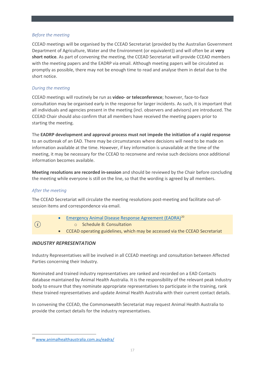#### *Before the meeting*

CCEAD meetings will be organised by the CCEAD Secretariat (provided by the Australian Government Department of Agriculture, Water and the Environment (or equivalent)) and will often be at **very short notice**. As part of convening the meeting, the CCEAD Secretariat will provide CCEAD members with the meeting papers and the EADRP via email. Although meeting papers will be circulated as promptly as possible, there may not be enough time to read and analyse them in detail due to the short notice.

#### *During the meeting*

CCEAD meetings will routinely be run as **video- or teleconference**; however, face-to-face consultation may be organised early in the response for larger incidents. As such, it is important that all individuals and agencies present in the meeting (incl. observers and advisors) are introduced. The CCEAD Chair should also confirm that all members have received the meeting papers prior to starting the meeting.

The **EADRP development and approval process must not impede the initiation of a rapid response** to an outbreak of an EAD. There may be circumstances where decisions will need to be made on information available at the time. However, if key information is unavailable at the time of the meeting, it may be necessary for the CCEAD to reconvene and revise such decisions once additional information becomes available.

**Meeting resolutions are recorded in-session** and should be reviewed by the Chair before concluding the meeting while everyone is still on the line, so that the wording is agreed by all members.

#### *After the meeting*

The CCEAD Secretariat will circulate the meeting resolutions post-meeting and facilitate out-ofsession items and correspondence via email.

- $(i)$
- [Emergency Animal Disease Response Agreement \(EADRA\)](http://www.animalhealthaustralia.com.au/what-we-do/emergency-animal-disease/ead-response-agreement/)<sup>[20](#page-16-0)</sup>
	- o Schedule 8: Consultation
- CCEAD operating guidelines, which may be accessed via the CCEAD Secretariat

#### *INDUSTRY REPRESENTATION*

Industry Representatives will be involved in all CCEAD meetings and consultation between Affected Parties concerning their Industry.

Nominated and trained industry representatives are ranked and recorded on a EAD Contacts database maintained by Animal Health Australia. It is the responsibility of the relevant peak industry body to ensure that they nominate appropriate representatives to participate in the training, rank these trained representatives and update Animal Health Australia with their current contact details.

In convening the CCEAD, the Commonwealth Secretariat may request Animal Health Australia to provide the contact details for the industry representatives.

<span id="page-16-0"></span><sup>20</sup> [www.animalhealthaustralia.com.au/eadra/](http://www.animalhealthaustralia.com.au/eadra/)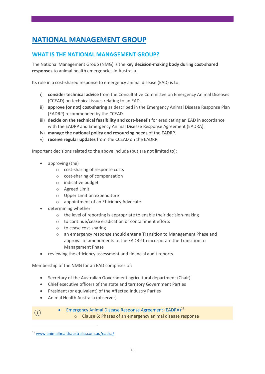# <span id="page-17-0"></span>**NATIONAL MANAGEMENT GROUP**

# <span id="page-17-1"></span>**WHAT IS THE NATIONAL MANAGEMENT GROUP?**

The National Management Group (NMG) is the **key decision-making body during cost-shared responses** to animal health emergencies in Australia.

Its role in a cost-shared response to emergency animal disease (EAD) is to:

- i) **consider technical advice** from the Consultative Committee on Emergency Animal Diseases (CCEAD) on technical issues relating to an EAD.
- ii) **approve (or not) cost-sharing** as described in the Emergency Animal Disease Response Plan (EADRP) recommended by the CCEAD.
- iii) **decide on the technical feasibility and cost-benefit** for eradicating an EAD in accordance with the EADRP and Emergency Animal Disease Response Agreement (EADRA).
- iv) **manage the national policy and resourcing needs** of the EADRP.
- v) **receive regular updates** from the CCEAD on the EADRP.

Important decisions related to the above include (but are not limited to):

- approving (the)
	- o cost-sharing of response costs
	- o cost-sharing of compensation
	- o indicative budget
	- o Agreed Limit
	- o Upper Limit on expenditure
	- o appointment of an Efficiency Advocate
- determining whether
	- o the level of reporting is appropriate to enable their decision-making
	- o to continue/cease eradication or containment efforts
	- o to cease cost-sharing
	- o an emergency response should enter a Transition to Management Phase and approval of amendments to the EADRP to incorporate the Transition to Management Phase
- reviewing the efficiency assessment and financial audit reports.

Membership of the NMG for an EAD comprises of:

- Secretary of the Australian Government agricultural department (Chair)
- Chief executive officers of the state and territory Government Parties
- President (or equivalent) of the Affected Industry Parties
- Animal Health Australia (observer).
- **•** [Emergency Animal Disease Response Agreement \(EADRA\)](http://www.animalhealthaustralia.com.au/what-we-do/emergency-animal-disease/ead-response-agreement/) $^{21}$  $^{21}$  $^{21}$ o Clause 6: Phases of an emergency animal disease response

 $(i)$ 

<span id="page-17-2"></span><sup>21</sup> [www.animalhealthaustralia.com.au/eadra/](http://www.animalhealthaustralia.com.au/eadra/)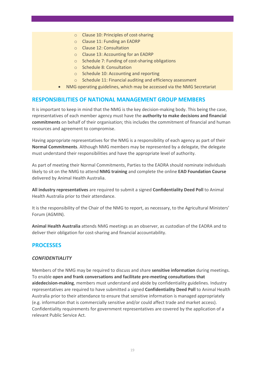- o Clause 10: Principles of cost-sharing
- o Clause 11: Funding an EADRP
- o Clause 12: Consultation
- o Clause 13: Accounting for an EADRP
- o Schedule 7: Funding of cost-sharing obligations
- o Schedule 8: Consultation
- o Schedule 10: Accounting and reporting
- o Schedule 11: Financial auditing and efficiency assessment
- NMG operating guidelines, which may be accessed via the NMG Secretariat

#### <span id="page-18-0"></span>**RESPONSIBILITIES OF NATIONAL MANAGEMENT GROUP MEMBERS**

It is important to keep in mind that the NMG is the key decision-making body. This being the case, representatives of each member agency must have the **authority to make decisions and financial commitments** on behalf of their organisation; this includes the commitment of financial and human resources and agreement to compromise.

Having appropriate representatives for the NMG is a responsibility of each agency as part of their **Normal Commitments**. Although NMG members may be represented by a delegate, the delegate must understand their responsibilities and have the appropriate level of authority.

As part of meeting their Normal Commitments, Parties to the EADRA should nominate individuals likely to sit on the NMG to attend **NMG training** and complete the online **EAD Foundation Course** delivered by Animal Health Australia.

**All industry representatives** are required to submit a signed **Confidentiality Deed Poll** to Animal Health Australia prior to their attendance.

It is the responsibility of the Chair of the NMG to report, as necessary, to the Agricultural Ministers' Forum (AGMIN).

**Animal Health Australia** attends NMG meetings as an observer, as custodian of the EADRA and to deliver their obligation for cost-sharing and financial accountability.

#### <span id="page-18-1"></span>**PROCESSES**

#### *CONFIDENTIALITY*

Members of the NMG may be required to discuss and share **sensitive information** during meetings. To enable **open and frank conversations and facilitate pre-meeting consultations that aidedecision-making**, members must understand and abide by confidentiality guidelines. Industry representatives are required to have submitted a signed **Confidentiality Deed Poll** to Animal Health Australia prior to their attendance to ensure that sensitive information is managed appropriately (e.g. information that is commercially sensitive and/or could affect trade and market access). Confidentiality requirements for government representatives are covered by the application of a relevant Public Service Act.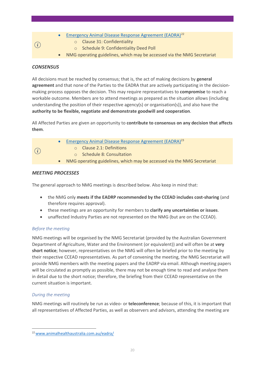- [Emergency Animal Disease Response Agreement \(EADRA\)](http://www.animalhealthaustralia.com.au/what-we-do/emergency-animal-disease/ead-response-agreement/)<sup>[22](#page-19-0)</sup>
	- o Clause 31: Confidentiality
	- o Schedule 9: Confidentiality Deed Poll
- NMG operating guidelines, which may be accessed via the NMG Secretariat

#### *CONSENSUS*

 $\bigcap$ 

All decisions must be reached by consensus; that is, the act of making decisions by **general agreement** and that none of the Parties to the EADRA that are actively participating in the decisionmaking process opposes the decision. This may require representatives to **compromise** to reach a workable outcome. Members are to attend meetings as prepared as the situation allows (including understanding the position of their respective agency(s) or organisation(s)), and also have the **authority to be flexible, negotiate and demonstrate goodwill and cooperation**.

All Affected Parties are given an opportunity to **contribute to consensus on any decision that affects them**.

|     | Emergency Animal Disease Response Agreement (EADRA) <sup>23</sup>         |
|-----|---------------------------------------------------------------------------|
| (i) | <b>O</b> Clause 2.1: Definitions                                          |
|     | o Schedule 8: Consultation                                                |
|     | • NMG operating guidelines, which may be accessed via the NMG Secretariat |
|     |                                                                           |

#### *MEETING PROCESSES*

The general approach to NMG meetings is described below. Also keep in mind that:

- the NMG only **meets if the EADRP recommended by the CCEAD includes cost-sharing** (and therefore requires approval).
- these meetings are an opportunity for members to **clarify any uncertainties or issues**.
- unaffected Industry Parties are not represented on the NMG (but are on the CCEAD).

#### *Before the meeting*

NMG meetings will be organised by the NMG Secretariat (provided by the Australian Government Department of Agriculture, Water and the Environment (or equivalent)) and will often be at **very short notice**; however, representatives on the NMG will often be briefed prior to the meeting by their respective CCEAD representatives. As part of convening the meeting, the NMG Secretariat will provide NMG members with the meeting papers and the EADRP via email. Although meeting papers will be circulated as promptly as possible, there may not be enough time to read and analyse them in detail due to the short notice; therefore, the briefing from their CCEAD representative on the current situation is important.

#### *During the meeting*

NMG meetings will routinely be run as video- or **teleconference**; because of this, it is important that all representatives of Affected Parties, as well as observers and advisors, attending the meeting are

<span id="page-19-0"></span><sup>2</sup>[2www.animalhealthaustralia.com.au/eadra/](http://www.animalhealthaustralia.com.au/eadra/)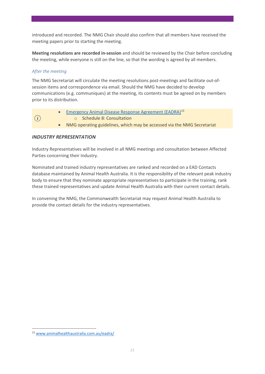introduced and recorded. The NMG Chair should also confirm that all members have received the meeting papers prior to starting the meeting.

**Meeting resolutions are recorded in-session** and should be reviewed by the Chair before concluding the meeting, while everyone is still on the line, so that the wording is agreed by all members.

#### *After the meeting*

The NMG Secretariat will circulate the meeting resolutions post-meetings and facilitate out-ofsession items and correspondence via email. Should the NMG have decided to develop communications (e.g. communiques) at the meeting, its contents must be agreed on by members prior to its distribution.

|     | • Emergency Animal Disease Response Agreement (EADRA) $^{23}$        |  |  |
|-----|----------------------------------------------------------------------|--|--|
| (i) | ○ Schedule 8: Consultation                                           |  |  |
|     | NMG operating quidelines, which may be accessed via the NMG Secretar |  |  |

• NMG operating guidelines, which may be accessed via the NMG Secretariat

#### *INDUSTRY REPRESENTATION*

Industry Representatives will be involved in all NMG meetings and consultation between Affected Parties concerning their Industry.

Nominated and trained industry representatives are ranked and recorded on a EAD Contacts database maintained by Animal Health Australia. It is the responsibility of the relevant peak industry body to ensure that they nominate appropriate representatives to participate in the training, rank these trained representatives and update Animal Health Australia with their current contact details.

In convening the NMG, the Commonwealth Secretariat may request Animal Health Australia to provide the contact details for the industry representatives.

<span id="page-20-0"></span><sup>23</sup> [www.animalhealthaustralia.com.au/eadra/](http://www.animalhealthaustralia.com.au/eadra/)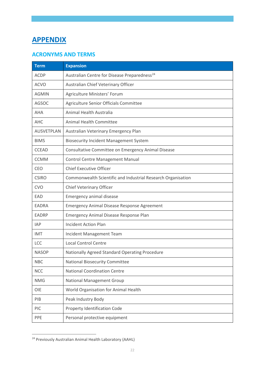# <span id="page-21-0"></span>**APPENDIX**

# <span id="page-21-1"></span>**ACRONYMS AND TERMS**

| <b>Term</b>       | <b>Expansion</b>                                             |
|-------------------|--------------------------------------------------------------|
| <b>ACDP</b>       | Australian Centre for Disease Preparedness <sup>24</sup>     |
| <b>ACVO</b>       | Australian Chief Veterinary Officer                          |
| <b>AGMIN</b>      | Agriculture Ministers' Forum                                 |
| <b>AGSOC</b>      | Agriculture Senior Officials Committee                       |
| AHA               | Animal Health Australia                                      |
| <b>AHC</b>        | Animal Health Committee                                      |
| <b>AUSVETPLAN</b> | Australian Veterinary Emergency Plan                         |
| <b>BIMS</b>       | <b>Biosecurity Incident Management System</b>                |
| <b>CCEAD</b>      | Consultative Committee on Emergency Animal Disease           |
| <b>CCMM</b>       | <b>Control Centre Management Manual</b>                      |
| <b>CEO</b>        | <b>Chief Executive Officer</b>                               |
| <b>CSIRO</b>      | Commonwealth Scientific and Industrial Research Organisation |
| <b>CVO</b>        | Chief Veterinary Officer                                     |
| EAD               | Emergency animal disease                                     |
| <b>EADRA</b>      | <b>Emergency Animal Disease Response Agreement</b>           |
| <b>EADRP</b>      | Emergency Animal Disease Response Plan                       |
| <b>IAP</b>        | <b>Incident Action Plan</b>                                  |
| <b>IMT</b>        | Incident Management Team                                     |
| <b>LCC</b>        | <b>Local Control Centre</b>                                  |
| <b>NASOP</b>      | Nationally Agreed Standard Operating Procedure               |
| <b>NBC</b>        | <b>National Biosecurity Committee</b>                        |
| <b>NCC</b>        | <b>National Coordination Centre</b>                          |
| <b>NMG</b>        | <b>National Management Group</b>                             |
| OIE               | World Organisation for Animal Health                         |
| PIB               | Peak Industry Body                                           |
| <b>PIC</b>        | Property Identification Code                                 |
| PPE               | Personal protective equipment                                |

<span id="page-21-2"></span><sup>24</sup> Previously Australian Animal Health Laboratory (AAHL)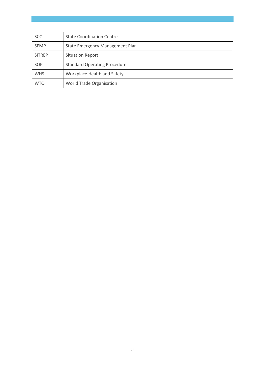| <b>SCC</b>    | <b>State Coordination Centre</b>    |
|---------------|-------------------------------------|
| <b>SEMP</b>   | State Emergency Management Plan     |
| <b>SITREP</b> | <b>Situation Report</b>             |
| SOP           | <b>Standard Operating Procedure</b> |
| <b>WHS</b>    | Workplace Health and Safety         |
| <b>WTO</b>    | World Trade Organisation            |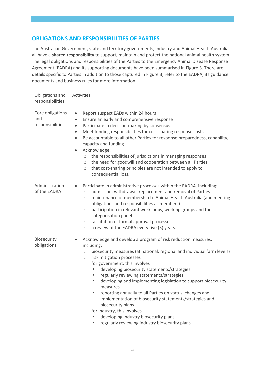### <span id="page-23-0"></span>**OBLIGATIONS AND RESPONSIBILITIES OF PARTIES**

The Australian Government, state and territory governments, industry and Animal Health Australia all have a **shared responsibility** to support, maintain and protect the national animal health system. The legal obligations and responsibilities of the Parties to the Emergency Animal Disease Response Agreement (EADRA) and its supporting documents have been summarised in Figure 3. There are details specific to Parties in addition to those captured in Figure 3; refer to the EADRA, its guidance documents and business rules for more information.

| Obligations and<br>responsibilities         | Activities                                                                                                                                                                                                                                                                                                                                                                                                                                                                                                                                                                                                                                                                                                                   |
|---------------------------------------------|------------------------------------------------------------------------------------------------------------------------------------------------------------------------------------------------------------------------------------------------------------------------------------------------------------------------------------------------------------------------------------------------------------------------------------------------------------------------------------------------------------------------------------------------------------------------------------------------------------------------------------------------------------------------------------------------------------------------------|
| Core obligations<br>and<br>responsibilities | Report suspect EADs within 24 hours<br>$\bullet$<br>Ensure an early and comprehensive response<br>$\bullet$<br>Participate in decision-making by consensus<br>$\bullet$<br>Meet funding responsibilities for cost-sharing response costs<br>$\bullet$<br>Be accountable to all other Parties for response preparedness, capability,<br>$\bullet$<br>capacity and funding<br>Acknowledge:<br>$\bullet$<br>the responsibilities of jurisdictions in managing responses<br>$\circ$<br>the need for goodwill and cooperation between all Parties<br>$\circ$<br>that cost-sharing principles are not intended to apply to<br>$\circ$<br>consequential loss.                                                                       |
| Administration<br>of the EADRA              | Participate in administrative processes within the EADRA, including:<br>admission, withdrawal, replacement and removal of Parties<br>$\bigcirc$<br>maintenance of membership to Animal Health Australia (and meeting<br>$\circ$<br>obligations and responsibilities as members)<br>participation in relevant workshops, working groups and the<br>$\bigcirc$<br>categorisation panel<br>facilitation of formal approval processes<br>$\circ$<br>a review of the EADRA every five (5) years.<br>$\circ$                                                                                                                                                                                                                       |
| Biosecurity<br>obligations                  | Acknowledge and develop a program of risk reduction measures,<br>$\bullet$<br>including:<br>biosecurity measures (at national, regional and individual farm levels)<br>$\circlearrowright$<br>risk mitigation processes<br>$\bigcirc$<br>for government, this involves<br>developing biosecurity statements/strategies<br>regularly reviewing statements/strategies<br>ш<br>developing and implementing legislation to support biosecurity<br>measures<br>reporting annually to all Parties on status, changes and<br>implementation of biosecurity statements/strategies and<br>biosecurity plans<br>for industry, this involves<br>developing industry biosecurity plans<br>regularly reviewing industry biosecurity plans |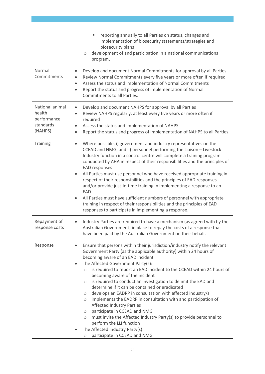|                                                                  | reporting annually to all Parties on status, changes and<br>ш<br>implementation of biosecurity statements/strategies and<br>biosecurity plans<br>development of and participation in a national communications<br>$\circ$<br>program.                                                                                                                                                                                                                                                                                                                                                                                                                                                                                                                                                                                                                                                                                          |
|------------------------------------------------------------------|--------------------------------------------------------------------------------------------------------------------------------------------------------------------------------------------------------------------------------------------------------------------------------------------------------------------------------------------------------------------------------------------------------------------------------------------------------------------------------------------------------------------------------------------------------------------------------------------------------------------------------------------------------------------------------------------------------------------------------------------------------------------------------------------------------------------------------------------------------------------------------------------------------------------------------|
| Normal<br>Commitments                                            | Develop and document Normal Commitments for approval by all Parties<br>Review Normal Commitments every five years or more often if required<br>Assess the status and implementation of Normal Commitments<br>$\bullet$<br>Report the status and progress of implementation of Normal<br>$\bullet$<br>Commitments to all Parties.                                                                                                                                                                                                                                                                                                                                                                                                                                                                                                                                                                                               |
| National animal<br>health<br>performance<br>standards<br>(NAHPS) | Develop and document NAHPS for approval by all Parties<br>$\bullet$<br>Review NAHPS regularly, at least every five years or more often if<br>$\bullet$<br>required<br>Assess the status and implementation of NAHPS<br>$\bullet$<br>Report the status and progress of implementation of NAHPS to all Parties.<br>$\bullet$                                                                                                                                                                                                                                                                                                                                                                                                                                                                                                                                                                                                     |
| <b>Training</b>                                                  | Where possible, i) government and industry representatives on the<br>$\bullet$<br>CCEAD and NMG; and ii) personnel performing the Liaison - Livestock<br>Industry function in a control centre will complete a training program<br>conducted by AHA in respect of their responsibilities and the principles of<br>EAD responses<br>All Parties must use personnel who have received appropriate training in<br>$\bullet$<br>respect of their responsibilities and the principles of EAD responses<br>and/or provide just-in-time training in implementing a response to an<br>EAD<br>All Parties must have sufficient numbers of personnel with appropriate<br>$\bullet$<br>training in respect of their responsibilities and the principles of EAD<br>responses to participate in implementing a response.                                                                                                                    |
| Repayment of<br>response costs                                   | Industry Parties are required to have a mechanism (as agreed with by the<br>$\bullet$<br>Australian Government) in place to repay the costs of a response that<br>have been paid by the Australian Government on their behalf.                                                                                                                                                                                                                                                                                                                                                                                                                                                                                                                                                                                                                                                                                                 |
| Response                                                         | Ensure that persons within their jurisdiction/industry notify the relevant<br>$\bullet$<br>Government Party (as the applicable authority) within 24 hours of<br>becoming aware of an EAD incident<br>The Affected Government Party(s):<br>is required to report an EAD incident to the CCEAD within 24 hours of<br>$\circ$<br>becoming aware of the incident<br>is required to conduct an investigation to delimit the EAD and<br>$\circ$<br>determine if it can be contained or eradicated<br>develops an EADRP in consultation with affected industry/s<br>$\circ$<br>implements the EADRP in consultation with and participation of<br>$\circ$<br><b>Affected Industry Parties</b><br>participate in CCEAD and NMG<br>$\circ$<br>must invite the Affected Industry Party(s) to provide personnel to<br>$\circ$<br>perform the LLI function<br>The Affected Industry Party(s):<br>participate in CCEAD and NMG<br>$\bigcirc$ |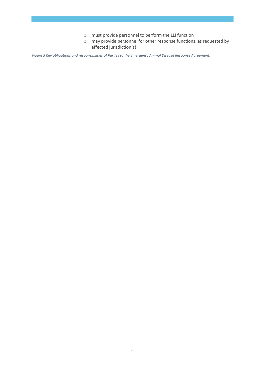|  | o must provide personnel to perform the LLI function<br>$\circ$ may provide personnel for other response functions, as requested by<br>affected jurisdiction(s) |
|--|-----------------------------------------------------------------------------------------------------------------------------------------------------------------|
|--|-----------------------------------------------------------------------------------------------------------------------------------------------------------------|

*Figure 3 Key obligations and responsibilities of Parties to the Emergency Animal Disease Response Agreement.*